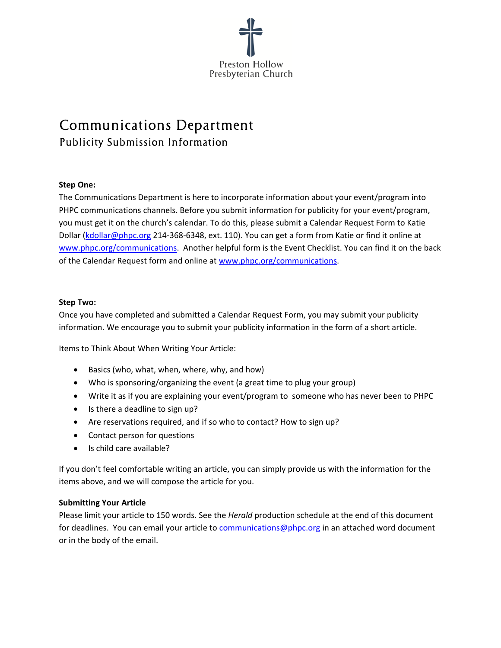

## Communications Department Publicity Submission Information

#### **Step One:**

The Communications Department is here to incorporate information about your event/program into PHPC communications channels. Before you submit information for publicity for your event/program, you must get it on the church's calendar. To do this, please submit a Calendar Request Form to Katie Dollar (kdollar@phpc.org 214-368-6348, ext. 110). You can get a form from Katie or find it online at www.phpc.org/communications. Another helpful form is the Event Checklist. You can find it on the back of the Calendar Request form and online at www.phpc.org/communications.

#### **Step Two:**

Once you have completed and submitted a Calendar Request Form, you may submit your publicity information. We encourage you to submit your publicity information in the form of a short article.

Items to Think About When Writing Your Article:

- Basics (who, what, when, where, why, and how)
- Who is sponsoring/organizing the event (a great time to plug your group)
- Write it as if you are explaining your event/program to someone who has never been to PHPC
- Is there a deadline to sign up?
- Are reservations required, and if so who to contact? How to sign up?
- Contact person for questions
- $\bullet$  Is child care available?

If you don't feel comfortable writing an article, you can simply provide us with the information for the items above, and we will compose the article for you.

#### **Submitting Your Article**

Please limit your article to 150 words. See the *Herald* production schedule at the end of this document for deadlines. You can email your article to communications@phpc.org in an attached word document or in the body of the email.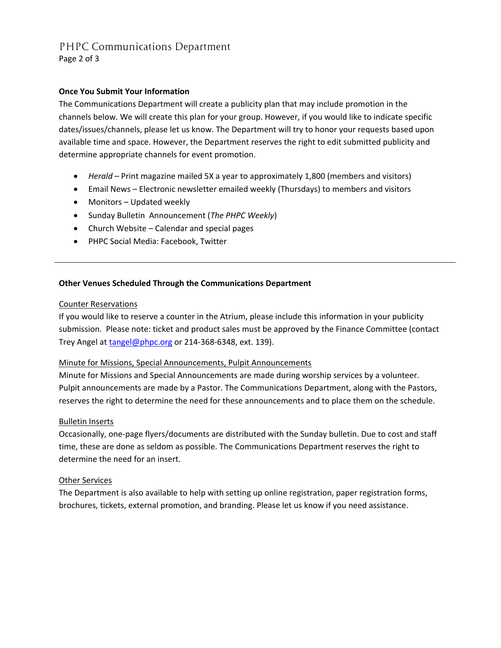# PHPC Communications Department

Page 2 of 3

#### **Once You Submit Your Information**

The Communications Department will create a publicity plan that may include promotion in the channels below. We will create this plan for your group. However, if you would like to indicate specific dates/issues/channels, please let us know. The Department will try to honor your requests based upon available time and space. However, the Department reserves the right to edit submitted publicity and determine appropriate channels for event promotion.

- *Herald* Print magazine mailed 5X a year to approximately 1,800 (members and visitors)
- Email News Electronic newsletter emailed weekly (Thursdays) to members and visitors
- Monitors Updated weekly
- Sunday Bulletin Announcement (*The PHPC Weekly*)
- Church Website Calendar and special pages
- PHPC Social Media: Facebook, Twitter

#### **Other Venues Scheduled Through the Communications Department**

#### Counter Reservations

If you would like to reserve a counter in the Atrium, please include this information in your publicity submission. Please note: ticket and product sales must be approved by the Finance Committee (contact Trey Angel at tangel@phpc.org or 214-368-6348, ext. 139).

#### Minute for Missions, Special Announcements, Pulpit Announcements

Minute for Missions and Special Announcements are made during worship services by a volunteer. Pulpit announcements are made by a Pastor. The Communications Department, along with the Pastors, reserves the right to determine the need for these announcements and to place them on the schedule.

#### Bulletin Inserts

Occasionally, one-page flyers/documents are distributed with the Sunday bulletin. Due to cost and staff time, these are done as seldom as possible. The Communications Department reserves the right to determine the need for an insert.

#### Other Services

The Department is also available to help with setting up online registration, paper registration forms, brochures, tickets, external promotion, and branding. Please let us know if you need assistance.